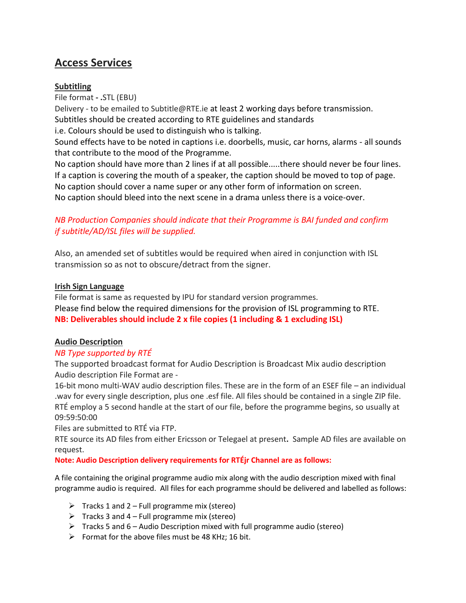# **Access Services**

## **Subtitling**

File format **- .**STL (EBU) Delivery - to be emailed to Subtitle@RTE.ie at least 2 working days before transmission. Subtitles should be created according to RTE guidelines and standards i.e. Colours should be used to distinguish who is talking. Sound effects have to be noted in captions i.e. doorbells, music, car horns, alarms - all sounds that contribute to the mood of the Programme. No caption should have more than 2 lines if at all possible.....there should never be four lines. If a caption is covering the mouth of a speaker, the caption should be moved to top of page. No caption should cover a name super or any other form of information on screen.

No caption should bleed into the next scene in a drama unless there is a voice-over.

# *NB Production Companies should indicate that their Programme is BAI funded and confirm if subtitle/AD/ISL files will be supplied.*

Also, an amended set of subtitles would be required when aired in conjunction with ISL transmission so as not to obscure/detract from the signer.

#### **Irish Sign Language**

File format is same as requested by IPU for standard version programmes. Please find below the required dimensions for the provision of ISL programming to RTE. **NB: Deliverables should include 2 x file copies (1 including & 1 excluding ISL)**

## **Audio Description**

## *NB Type supported by RTÉ*

The supported broadcast format for Audio Description is Broadcast Mix audio description Audio description File Format are -

16-bit mono multi-WAV audio description files. These are in the form of an ESEF file – an individual .wav for every single description, plus one .esf file. All files should be contained in a single ZIP file. RTÉ employ a 5 second handle at the start of our file, before the programme begins, so usually at 09:59:50:00

Files are submitted to RTÉ via FTP.

RTE source its AD files from either Ericsson or Telegael at present**.** Sample AD files are available on request.

#### **Note: Audio Description delivery requirements for RTÉjr Channel are as follows:**

A file containing the original programme audio mix along with the audio description mixed with final programme audio is required. All files for each programme should be delivered and labelled as follows:

- $\triangleright$  Tracks 1 and 2 Full programme mix (stereo)
- $\triangleright$  Tracks 3 and 4 Full programme mix (stereo)
- $\triangleright$  Tracks 5 and 6 Audio Description mixed with full programme audio (stereo)
- $\triangleright$  Format for the above files must be 48 KHz; 16 bit.